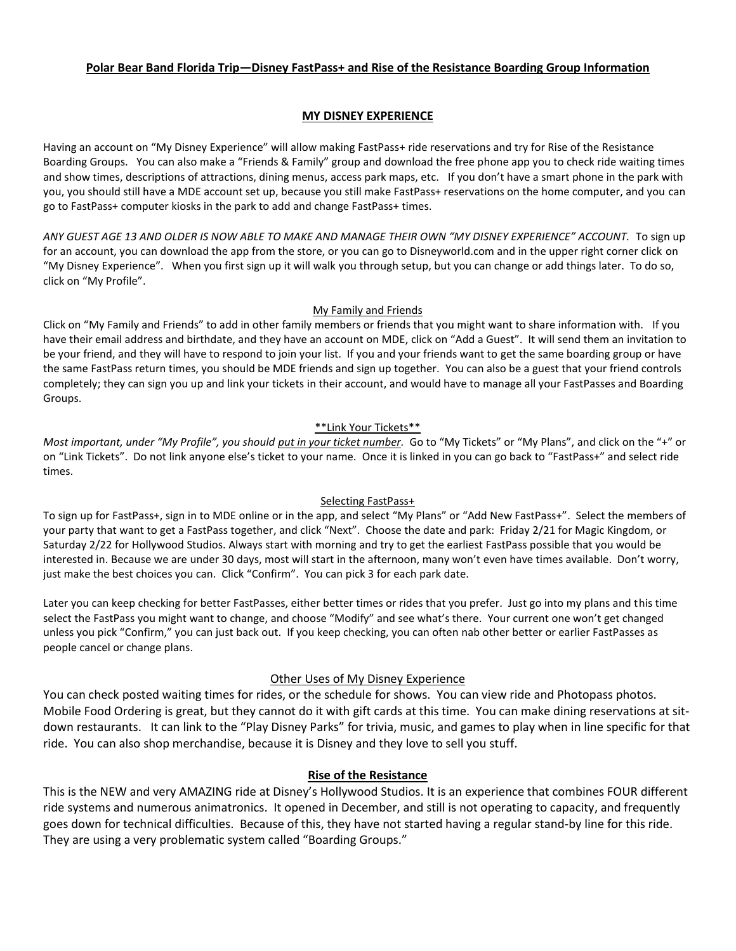# **Polar Bear Band Florida Trip—Disney FastPass+ and Rise of the Resistance Boarding Group Information**

# **MY DISNEY EXPERIENCE**

Having an account on "My Disney Experience" will allow making FastPass+ ride reservations and try for Rise of the Resistance Boarding Groups. You can also make a "Friends & Family" group and download the free phone app you to check ride waiting times and show times, descriptions of attractions, dining menus, access park maps, etc. If you don't have a smart phone in the park with you, you should still have a MDE account set up, because you still make FastPass+ reservations on the home computer, and you can go to FastPass+ computer kiosks in the park to add and change FastPass+ times.

*ANY GUEST AGE 13 AND OLDER IS NOW ABLE TO MAKE AND MANAGE THEIR OWN "MY DISNEY EXPERIENCE" ACCOUNT.* To sign up for an account, you can download the app from the store, or you can go to Disneyworld.com and in the upper right corner click on "My Disney Experience". When you first sign up it will walk you through setup, but you can change or add things later. To do so, click on "My Profile".

# My Family and Friends

Click on "My Family and Friends" to add in other family members or friends that you might want to share information with. If you have their email address and birthdate, and they have an account on MDE, click on "Add a Guest". It will send them an invitation to be your friend, and they will have to respond to join your list. If you and your friends want to get the same boarding group or have the same FastPass return times, you should be MDE friends and sign up together. You can also be a guest that your friend controls completely; they can sign you up and link your tickets in their account, and would have to manage all your FastPasses and Boarding Groups.

### \*\*Link Your Tickets\*\*

*Most important, under "My Profile", you should <i>put in your ticket number*. Go to "My Tickets" or "My Plans", and click on the "+" or on "Link Tickets". Do not link anyone else's ticket to your name. Once it is linked in you can go back to "FastPass+" and select ride times.

# Selecting FastPass+

To sign up for FastPass+, sign in to MDE online or in the app, and select "My Plans" or "Add New FastPass+". Select the members of your party that want to get a FastPass together, and click "Next". Choose the date and park: Friday 2/21 for Magic Kingdom, or Saturday 2/22 for Hollywood Studios. Always start with morning and try to get the earliest FastPass possible that you would be interested in. Because we are under 30 days, most will start in the afternoon, many won't even have times available. Don't worry, just make the best choices you can. Click "Confirm". You can pick 3 for each park date.

Later you can keep checking for better FastPasses, either better times or rides that you prefer. Just go into my plans and this time select the FastPass you might want to change, and choose "Modify" and see what's there. Your current one won't get changed unless you pick "Confirm," you can just back out. If you keep checking, you can often nab other better or earlier FastPasses as people cancel or change plans.

# Other Uses of My Disney Experience

You can check posted waiting times for rides, or the schedule for shows. You can view ride and Photopass photos. Mobile Food Ordering is great, but they cannot do it with gift cards at this time. You can make dining reservations at sitdown restaurants. It can link to the "Play Disney Parks" for trivia, music, and games to play when in line specific for that ride. You can also shop merchandise, because it is Disney and they love to sell you stuff.

# **Rise of the Resistance**

This is the NEW and very AMAZING ride at Disney's Hollywood Studios. It is an experience that combines FOUR different ride systems and numerous animatronics. It opened in December, and still is not operating to capacity, and frequently goes down for technical difficulties. Because of this, they have not started having a regular stand-by line for this ride. They are using a very problematic system called "Boarding Groups."